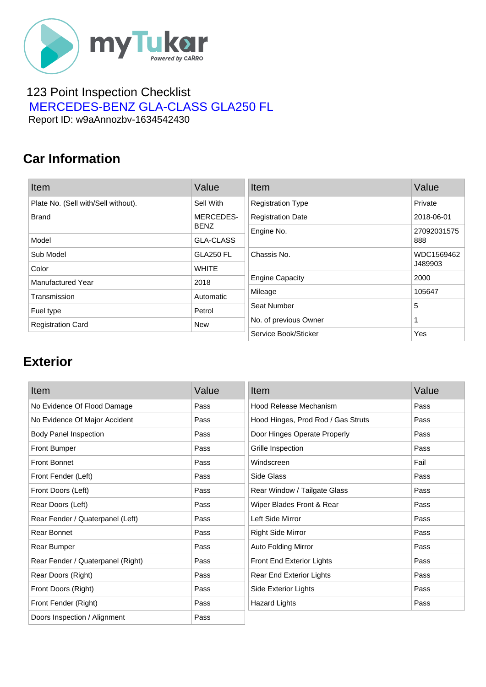

#### 123 Point Inspection Checklist  [MERCEDES-BENZ GLA-CLASS GLA250 FL](https://mytukar.com/q/G9OZ85) Report ID: w9aAnnozbv-1634542430

### **Car Information**

| Item                                | Value            | Item                     | Value       |
|-------------------------------------|------------------|--------------------------|-------------|
| Plate No. (Sell with/Sell without). | Sell With        | <b>Registration Type</b> | Private     |
| <b>Brand</b>                        | MERCEDES-        | <b>Registration Date</b> | 2018-06-01  |
|                                     | <b>BENZ</b>      | Engine No.               | 27092031575 |
| Model                               | <b>GLA-CLASS</b> |                          | 888         |
| Sub Model                           | <b>GLA250 FL</b> | Chassis No.              | WDC1569462  |
| Color                               | <b>WHITE</b>     |                          | J489903     |
| Manufactured Year                   | 2018             | <b>Engine Capacity</b>   | 2000        |
| Transmission                        | Automatic        | Mileage                  | 105647      |
| Fuel type                           | Petrol           | Seat Number              | 5           |
| <b>Registration Card</b>            | <b>New</b>       | No. of previous Owner    |             |
|                                     |                  | Service Book/Sticker     | Yes         |

### **Exterior**

| Item                              | Value | Item                               | Value |
|-----------------------------------|-------|------------------------------------|-------|
| No Evidence Of Flood Damage       | Pass  | Hood Release Mechanism             | Pass  |
| No Evidence Of Major Accident     | Pass  | Hood Hinges, Prod Rod / Gas Struts | Pass  |
| <b>Body Panel Inspection</b>      | Pass  | Door Hinges Operate Properly       | Pass  |
| <b>Front Bumper</b>               | Pass  | Grille Inspection                  | Pass  |
| <b>Front Bonnet</b>               | Pass  | Windscreen                         | Fail  |
| Front Fender (Left)               | Pass  | Side Glass                         | Pass  |
| Front Doors (Left)                | Pass  | Rear Window / Tailgate Glass       | Pass  |
| Rear Doors (Left)                 | Pass  | Wiper Blades Front & Rear          | Pass  |
| Rear Fender / Quaterpanel (Left)  | Pass  | Left Side Mirror                   | Pass  |
| <b>Rear Bonnet</b>                | Pass  | <b>Right Side Mirror</b>           | Pass  |
| Rear Bumper                       | Pass  | Auto Folding Mirror                | Pass  |
| Rear Fender / Quaterpanel (Right) | Pass  | Front End Exterior Lights          | Pass  |
| Rear Doors (Right)                | Pass  | Rear End Exterior Lights           | Pass  |
| Front Doors (Right)               | Pass  | Side Exterior Lights               | Pass  |
| Front Fender (Right)              | Pass  | <b>Hazard Lights</b>               | Pass  |
| Doors Inspection / Alignment      | Pass  |                                    |       |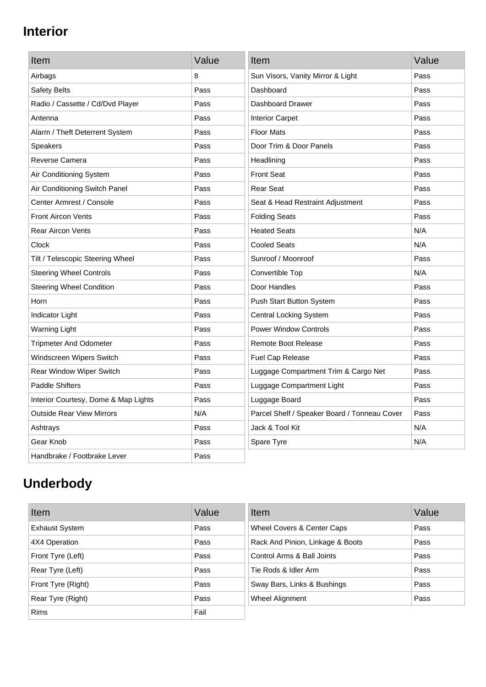# **Interior**

| Item                                 | Value | Item                                         | Value |
|--------------------------------------|-------|----------------------------------------------|-------|
| Airbags                              | 8     | Sun Visors, Vanity Mirror & Light            | Pass  |
| Safety Belts                         | Pass  | Dashboard                                    | Pass  |
| Radio / Cassette / Cd/Dvd Player     | Pass  | Dashboard Drawer                             | Pass  |
| Antenna                              | Pass  | <b>Interior Carpet</b>                       | Pass  |
| Alarm / Theft Deterrent System       | Pass  | <b>Floor Mats</b>                            | Pass  |
| <b>Speakers</b>                      | Pass  | Door Trim & Door Panels                      | Pass  |
| Reverse Camera                       | Pass  | Headlining                                   | Pass  |
| Air Conditioning System              | Pass  | <b>Front Seat</b>                            | Pass  |
| Air Conditioning Switch Panel        | Pass  | <b>Rear Seat</b>                             | Pass  |
| Center Armrest / Console             | Pass  | Seat & Head Restraint Adjustment             | Pass  |
| <b>Front Aircon Vents</b>            | Pass  | <b>Folding Seats</b>                         | Pass  |
| <b>Rear Aircon Vents</b>             | Pass  | <b>Heated Seats</b>                          | N/A   |
| Clock                                | Pass  | <b>Cooled Seats</b>                          | N/A   |
| Tilt / Telescopic Steering Wheel     | Pass  | Sunroof / Moonroof                           | Pass  |
| <b>Steering Wheel Controls</b>       | Pass  | Convertible Top                              | N/A   |
| <b>Steering Wheel Condition</b>      | Pass  | Door Handles                                 | Pass  |
| Horn                                 | Pass  | Push Start Button System                     | Pass  |
| Indicator Light                      | Pass  | <b>Central Locking System</b>                | Pass  |
| <b>Warning Light</b>                 | Pass  | <b>Power Window Controls</b>                 | Pass  |
| <b>Tripmeter And Odometer</b>        | Pass  | <b>Remote Boot Release</b>                   | Pass  |
| Windscreen Wipers Switch             | Pass  | Fuel Cap Release                             | Pass  |
| Rear Window Wiper Switch             | Pass  | Luggage Compartment Trim & Cargo Net         | Pass  |
| <b>Paddle Shifters</b>               | Pass  | Luggage Compartment Light                    | Pass  |
| Interior Courtesy, Dome & Map Lights | Pass  | Luggage Board                                | Pass  |
| <b>Outside Rear View Mirrors</b>     | N/A   | Parcel Shelf / Speaker Board / Tonneau Cover | Pass  |
| Ashtrays                             | Pass  | Jack & Tool Kit                              | N/A   |
| Gear Knob                            | Pass  | Spare Tyre                                   | N/A   |
| Handbrake / Footbrake Lever          | Pass  |                                              |       |

# **Underbody**

| Item                  | Value | Item                             | Value |
|-----------------------|-------|----------------------------------|-------|
| <b>Exhaust System</b> | Pass  | Wheel Covers & Center Caps       | Pass  |
| 4X4 Operation         | Pass  | Rack And Pinion, Linkage & Boots | Pass  |
| Front Tyre (Left)     | Pass  | Control Arms & Ball Joints       | Pass  |
| Rear Tyre (Left)      | Pass  | Tie Rods & Idler Arm             | Pass  |
| Front Tyre (Right)    | Pass  | Sway Bars, Links & Bushings      | Pass  |
| Rear Tyre (Right)     | Pass  | Wheel Alignment                  | Pass  |
| <b>Rims</b>           | Fail  |                                  |       |